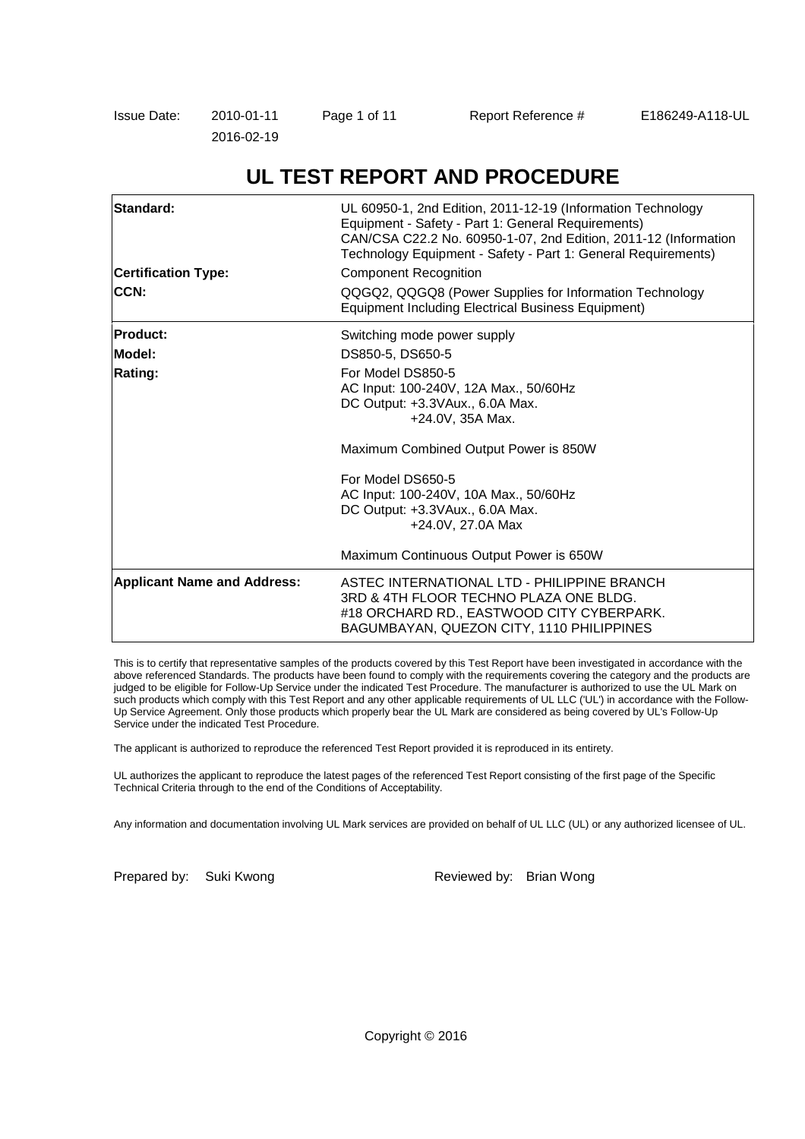| Issue Date: | 2010-01-11 | Page 1 of 11 | Report Reference # | E186249-A118-UL |
|-------------|------------|--------------|--------------------|-----------------|
|             | 2016-02-19 |              |                    |                 |

# **UL TEST REPORT AND PROCEDURE**

| Standard:<br><b>Certification Type:</b><br>CCN: | UL 60950-1, 2nd Edition, 2011-12-19 (Information Technology<br>Equipment - Safety - Part 1: General Requirements)<br>CAN/CSA C22.2 No. 60950-1-07, 2nd Edition, 2011-12 (Information<br>Technology Equipment - Safety - Part 1: General Requirements)<br><b>Component Recognition</b><br>QQGQ2, QQGQ8 (Power Supplies for Information Technology<br><b>Equipment Including Electrical Business Equipment)</b> |  |  |  |
|-------------------------------------------------|---------------------------------------------------------------------------------------------------------------------------------------------------------------------------------------------------------------------------------------------------------------------------------------------------------------------------------------------------------------------------------------------------------------|--|--|--|
| <b>Product:</b>                                 | Switching mode power supply                                                                                                                                                                                                                                                                                                                                                                                   |  |  |  |
| Model:                                          | DS850-5, DS650-5                                                                                                                                                                                                                                                                                                                                                                                              |  |  |  |
| <b>Rating:</b>                                  | For Model DS850-5<br>AC Input: 100-240V, 12A Max., 50/60Hz<br>DC Output: +3.3VAux., 6.0A Max.<br>+24.0V, 35A Max.                                                                                                                                                                                                                                                                                             |  |  |  |
|                                                 | Maximum Combined Output Power is 850W                                                                                                                                                                                                                                                                                                                                                                         |  |  |  |
|                                                 | For Model DS650-5<br>AC Input: 100-240V, 10A Max., 50/60Hz<br>DC Output: +3.3VAux., 6.0A Max.<br>+24.0V, 27.0A Max                                                                                                                                                                                                                                                                                            |  |  |  |
|                                                 | Maximum Continuous Output Power is 650W                                                                                                                                                                                                                                                                                                                                                                       |  |  |  |
| <b>Applicant Name and Address:</b>              | ASTEC INTERNATIONAL LTD - PHILIPPINE BRANCH<br>3RD & 4TH FLOOR TECHNO PLAZA ONE BLDG.<br>#18 ORCHARD RD., EASTWOOD CITY CYBERPARK.<br>BAGUMBAYAN, QUEZON CITY, 1110 PHILIPPINES                                                                                                                                                                                                                               |  |  |  |

This is to certify that representative samples of the products covered by this Test Report have been investigated in accordance with the above referenced Standards. The products have been found to comply with the requirements covering the category and the products are judged to be eligible for Follow-Up Service under the indicated Test Procedure. The manufacturer is authorized to use the UL Mark on such products which comply with this Test Report and any other applicable requirements of UL LLC ('UL') in accordance with the Follow-Up Service Agreement. Only those products which properly bear the UL Mark are considered as being covered by UL's Follow-Up Service under the indicated Test Procedure.

The applicant is authorized to reproduce the referenced Test Report provided it is reproduced in its entirety.

UL authorizes the applicant to reproduce the latest pages of the referenced Test Report consisting of the first page of the Specific Technical Criteria through to the end of the Conditions of Acceptability.

Any information and documentation involving UL Mark services are provided on behalf of UL LLC (UL) or any authorized licensee of UL.

Prepared by: Suki Kwong **Reviewed by: Brian Wong** 

Copyright © 2016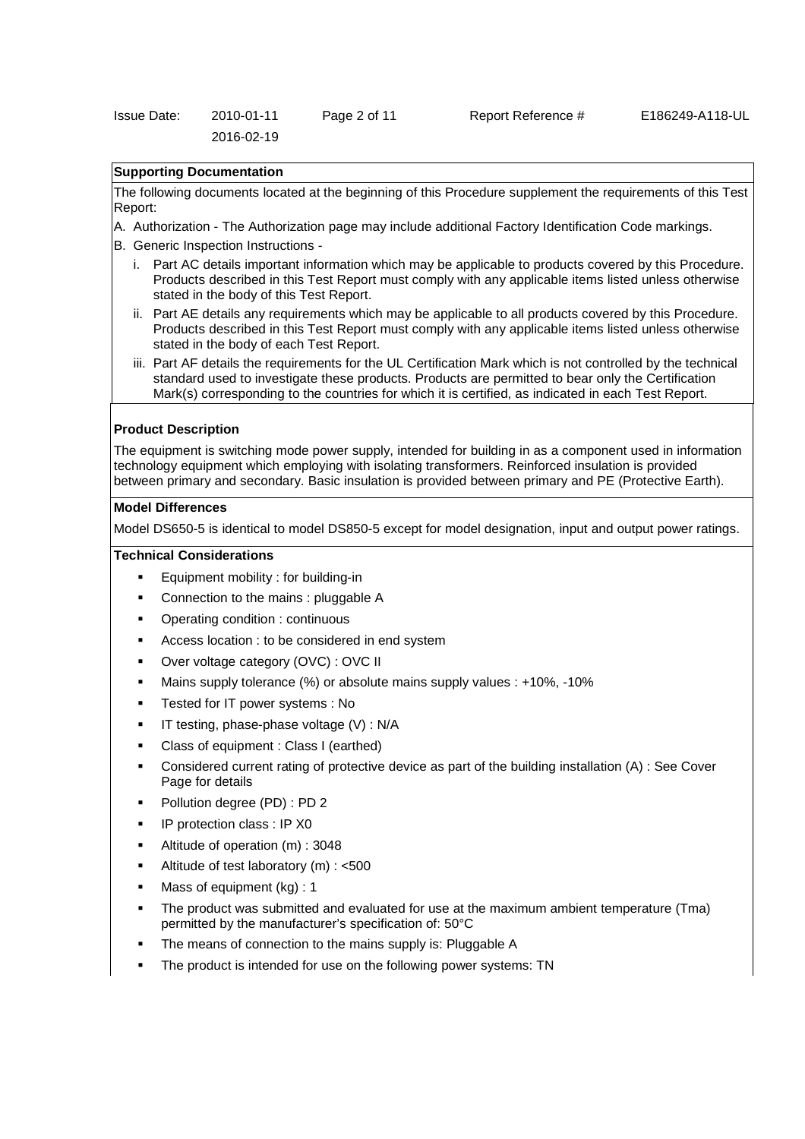| Issue Date: | 2010-01-11 | Page 2 of 11 |  |
|-------------|------------|--------------|--|
|             | 2016-02-19 |              |  |

#### Report Reference # E186249-A118-UL

### **Supporting Documentation**

The following documents located at the beginning of this Procedure supplement the requirements of this Test Report:

- A. Authorization The Authorization page may include additional Factory Identification Code markings.
- B. Generic Inspection Instructions
	- i. Part AC details important information which may be applicable to products covered by this Procedure. Products described in this Test Report must comply with any applicable items listed unless otherwise stated in the body of this Test Report.
	- ii. Part AE details any requirements which may be applicable to all products covered by this Procedure. Products described in this Test Report must comply with any applicable items listed unless otherwise stated in the body of each Test Report.
	- iii. Part AF details the requirements for the UL Certification Mark which is not controlled by the technical standard used to investigate these products. Products are permitted to bear only the Certification Mark(s) corresponding to the countries for which it is certified, as indicated in each Test Report.

#### **Product Description**

The equipment is switching mode power supply, intended for building in as a component used in information technology equipment which employing with isolating transformers. Reinforced insulation is provided between primary and secondary. Basic insulation is provided between primary and PE (Protective Earth).

#### **Model Differences**

Model DS650-5 is identical to model DS850-5 except for model designation, input and output power ratings.

## **Technical Considerations**

- Equipment mobility : for building-in
- Connection to the mains : pluggable A
- Operating condition : continuous
- Access location : to be considered in end system
- Over voltage category (OVC) : OVC II
- Mains supply tolerance (%) or absolute mains supply values : +10%, -10%
- Tested for IT power systems : No
- $\blacksquare$  IT testing, phase-phase voltage (V) : N/A
- Class of equipment : Class I (earthed)
- Considered current rating of protective device as part of the building installation (A) : See Cover Page for details
- Pollution degree (PD) : PD 2
- IP protection class : IP X0
- Altitude of operation (m) : 3048
- Altitude of test laboratory (m) : <500
- Mass of equipment (kg) : 1
- The product was submitted and evaluated for use at the maximum ambient temperature (Tma) permitted by the manufacturer's specification of: 50°C
- The means of connection to the mains supply is: Pluggable A
- The product is intended for use on the following power systems: TN